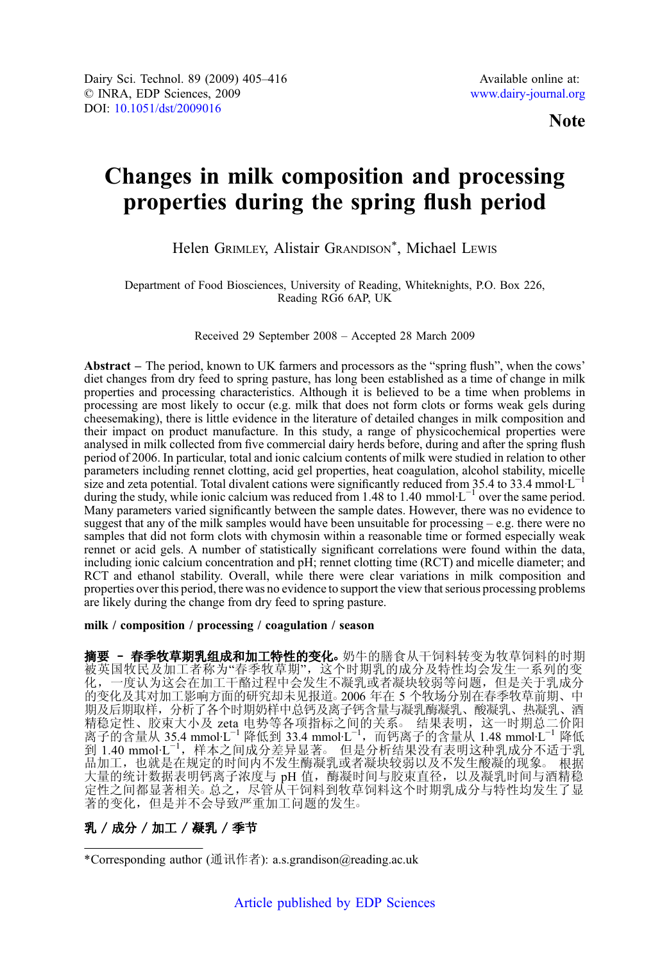Note

# Changes in milk composition and processing properties during the spring flush period

Helen GRIMLEY, Alistair GRANDISON\*, Michael LEWIS

Department of Food Biosciences, University of Reading, Whiteknights, P.O. Box 226, Reading RG6 6AP, UK

Received 29 September 2008 – Accepted 28 March 2009

Abstract – The period, known to UK farmers and processors as the "spring flush", when the cows' diet changes from dry feed to spring pasture, has long been established as a time of change in milk properties and processing characteristics. Although it is believed to be a time when problems in processing are most likely to occur (e.g. milk that does not form clots or forms weak gels during cheesemaking), there is little evidence in the literature of detailed changes in milk composition and their impact on product manufacture. In this study, a range of physicochemical properties were analysed in milk collected from five commercial dairy herds before, during and after the spring flush period of 2006. In particular, total and ionic calcium contents of milk were studied in relation to other parameters including rennet clotting, acid gel properties, heat coagulation, alcohol stability, micelle size and zeta potential. Total divalent cations were significantly reduced from 35.4 to 33.4 mmol $\text{ }$ L<sup>−1</sup> during the study, while ionic calcium was reduced from 1.48 to 1.40 mmol⋅L<sup>−1</sup> over the same period. Many parameters varied significantly between the sample dates. However, there was no evidence to suggest that any of the milk samples would have been unsuitable for processing – e.g. there were no samples that did not form clots with chymosin within a reasonable time or formed especially weak rennet or acid gels. A number of statistically significant correlations were found within the data, including ionic calcium concentration and pH; rennet clotting time (RCT) and micelle diameter; and RCT and ethanol stability. Overall, while there were clear variations in milk composition and properties over this period, there was no evidence to support the view that serious processing problems are likely during the change from dry feed to spring pasture.

milk / composition / processing / coagulation / season

摘要 - 春季牧草期乳组成和加工特性的变化。奶牛的膳食从干饲料转变为牧草饲料的时期 被英国牧民及加工者称为"春季牧草期",这个时期乳的成分及特性均会发生一系列的变 化,一度认为这会在加工干酪过程中会发生不凝乳或者凝块较弱等问题,但是关于乳成分 的变化及其对加工影响方面的研究却未见报道○ 2006 年在 5 个牧场分别在春季牧草前期、中 期及后期取样,分析了各个时期奶样中总钙及离子钙含量与凝乳酶凝乳、酸凝乳、热凝乳、酒 精稳定性、胶束大小及 zeta 电势等各项指标之间的关系。 结果表明, 这一时期总二价阳 . <br>离子的含量从 35.4 mmol·L<sup>−1</sup> 降低到 33.4 mmol·L<sup>−1</sup>,而钙离子的含量从 1.48 mmol·L<sup>−1</sup> 降低 .<br>到 1.40 mmol L<sup>-1</sup>, 样本之间成分差异显著。 但是分析结果没有表明这种乳成分不适于乳 品加工, 也就是在规定的时间内不发生酶凝乳或者凝块较弱以及不发生酸凝的现象。 根据 大量的统计数据表明钙离子浓度与 pH 值,酶凝时间与胶束直径,以及凝乳时间与酒精稳 定性之间都显著相关。总之,尽管从干饲料到牧草饲料这个时期乳成分与特性均发生了显 著的变化,但是并不会导致严重加工问题的发生。

# 乳 / 成分 / 加工 / 凝乳 / 季节

<sup>\*</sup>Corresponding author (通讯作者): a.s.grandison@reading.ac.uk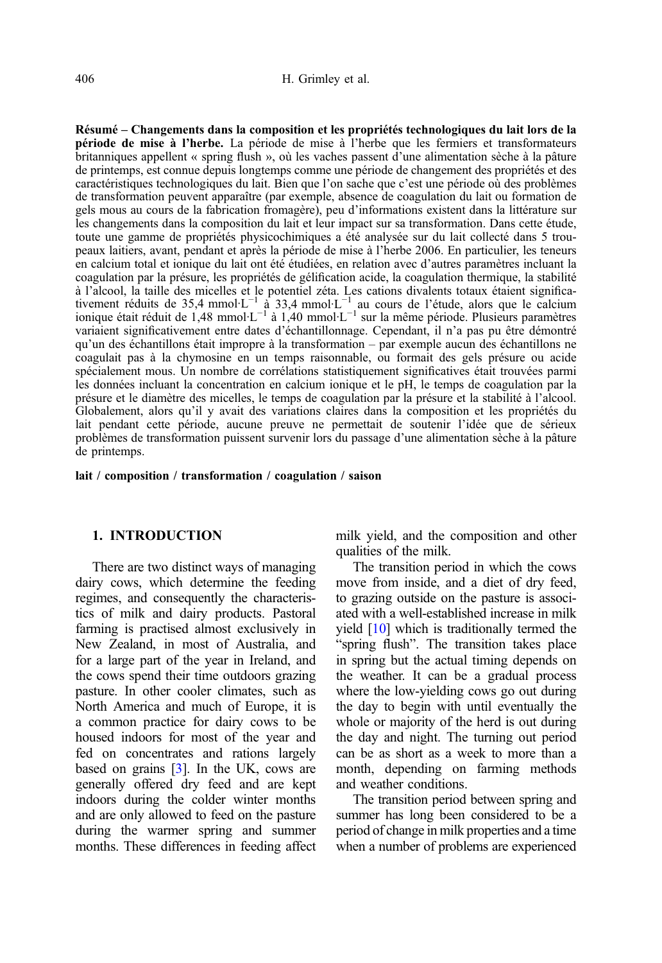## 406 H. Grimley et al.

Résumé – Changements dans la composition et les propriétés technologiques du lait lors de la période de mise à l'herbe. La période de mise à l'herbe que les fermiers et transformateurs britanniques appellent « spring flush », où les vaches passent d'une alimentation sèche à la pâture de printemps, est connue depuis longtemps comme une période de changement des propriétés et des caractéristiques technologiques du lait. Bien que l'on sache que c'est une période où des problèmes de transformation peuvent apparaître (par exemple, absence de coagulation du lait ou formation de gels mous au cours de la fabrication fromagère), peu d'informations existent dans la littérature sur les changements dans la composition du lait et leur impact sur sa transformation. Dans cette étude, toute une gamme de propriétés physicochimiques a été analysée sur du lait collecté dans 5 troupeaux laitiers, avant, pendant et après la période de mise à l'herbe 2006. En particulier, les teneurs en calcium total et ionique du lait ont été étudiées, en relation avec d'autres paramètres incluant la coagulation par la présure, les propriétés de gélification acide, la coagulation thermique, la stabilité à l'alcool, la taille des micelles et le potentiel zéta. Les cations divalents totaux étaient significativement réduits de 35,4 mmol·L−<sup>1</sup> à 33,4 mmol·L−<sup>1</sup> au cours de l'étude, alors que le calcium ionique était réduit de 1,48 mmol·L−<sup>1</sup> à 1,40 mmol·L−<sup>1</sup> sur la même période. Plusieurs paramètres variaient significativement entre dates d'échantillonnage. Cependant, il n'a pas pu être démontré qu'un des échantillons était impropre à la transformation – par exemple aucun des échantillons ne coagulait pas à la chymosine en un temps raisonnable, ou formait des gels présure ou acide spécialement mous. Un nombre de corrélations statistiquement significatives était trouvées parmi les données incluant la concentration en calcium ionique et le pH, le temps de coagulation par la présure et le diamètre des micelles, le temps de coagulation par la présure et la stabilité à l'alcool. Globalement, alors qu'il y avait des variations claires dans la composition et les propriétés du lait pendant cette période, aucune preuve ne permettait de soutenir l'idée que de sérieux problèmes de transformation puissent survenir lors du passage d'une alimentation sèche à la pâture de printemps.

lait / composition / transformation / coagulation / saison

## 1. INTRODUCTION

There are two distinct ways of managing dairy cows, which determine the feeding regimes, and consequently the characteristics of milk and dairy products. Pastoral farming is practised almost exclusively in New Zealand, in most of Australia, and for a large part of the year in Ireland, and the cows spend their time outdoors grazing pasture. In other cooler climates, such as North America and much of Europe, it is a common practice for dairy cows to be housed indoors for most of the year and fed on concentrates and rations largely based on grains  $[3]$ . In the UK, cows are generally offered dry feed and are kept indoors during the colder winter months and are only allowed to feed on the pasture during the warmer spring and summer months. These differences in feeding affect milk yield, and the composition and other qualities of the milk.

The transition period in which the cows move from inside, and a diet of dry feed, to grazing outside on the pasture is associated with a well-established increase in milk yield [\[10\]](#page-11-0) which is traditionally termed the "spring flush". The transition takes place in spring but the actual timing depends on the weather. It can be a gradual process where the low-yielding cows go out during the day to begin with until eventually the whole or majority of the herd is out during the day and night. The turning out period can be as short as a week to more than a month, depending on farming methods and weather conditions.

The transition period between spring and summer has long been considered to be a period of change in milk properties and a time when a number of problems are experienced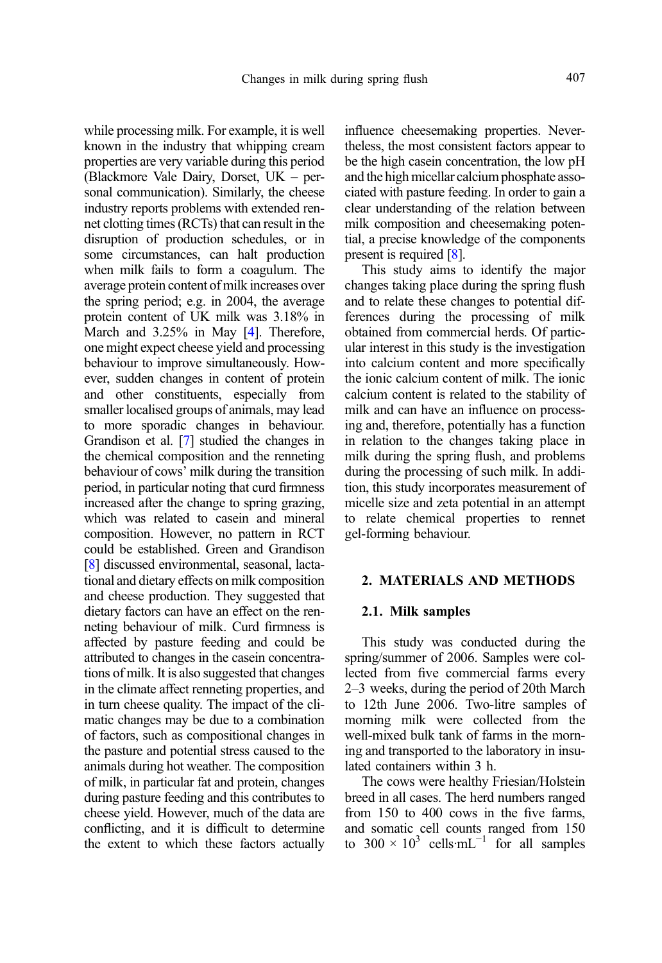while processing milk. For example, it is well known in the industry that whipping cream properties are very variable during this period (Blackmore Vale Dairy, Dorset, UK – personal communication). Similarly, the cheese industry reports problems with extended rennet clotting times (RCTs) that can result in the disruption of production schedules, or in some circumstances, can halt production when milk fails to form a coagulum. The average protein content of milk increases over the spring period; e.g. in 2004, the average protein content of UK milk was 3.18% in March and 3.25% in May [\[4\]](#page-11-0). Therefore, one might expect cheese yield and processing behaviour to improve simultaneously. However, sudden changes in content of protein and other constituents, especially from smaller localised groups of animals, may lead to more sporadic changes in behaviour. Grandison et al. [\[7](#page-11-0)] studied the changes in the chemical composition and the renneting behaviour of cows' milk during the transition period, in particular noting that curd firmness increased after the change to spring grazing, which was related to casein and mineral composition. However, no pattern in RCT could be established. Green and Grandison [[8](#page-11-0)] discussed environmental, seasonal, lactational and dietary effects on milk composition and cheese production. They suggested that dietary factors can have an effect on the renneting behaviour of milk. Curd firmness is affected by pasture feeding and could be attributed to changes in the casein concentrations of milk. It is also suggested that changes in the climate affect renneting properties, and in turn cheese quality. The impact of the climatic changes may be due to a combination of factors, such as compositional changes in the pasture and potential stress caused to the animals during hot weather. The composition of milk, in particular fat and protein, changes during pasture feeding and this contributes to cheese yield. However, much of the data are conflicting, and it is difficult to determine the extent to which these factors actually influence cheesemaking properties. Nevertheless, the most consistent factors appear to be the high casein concentration, the low pH and the high micellar calcium phosphate associated with pasture feeding. In order to gain a clear understanding of the relation between milk composition and cheesemaking potential, a precise knowledge of the components present is required [\[8\]](#page-11-0).

This study aims to identify the major changes taking place during the spring flush and to relate these changes to potential differences during the processing of milk obtained from commercial herds. Of particular interest in this study is the investigation into calcium content and more specifically the ionic calcium content of milk. The ionic calcium content is related to the stability of milk and can have an influence on processing and, therefore, potentially has a function in relation to the changes taking place in milk during the spring flush, and problems during the processing of such milk. In addition, this study incorporates measurement of micelle size and zeta potential in an attempt to relate chemical properties to rennet gel-forming behaviour.

#### 2. MATERIALS AND METHODS

# 2.1. Milk samples

This study was conducted during the spring/summer of 2006. Samples were collected from five commercial farms every 2–3 weeks, during the period of 20th March to 12th June 2006. Two-litre samples of morning milk were collected from the well-mixed bulk tank of farms in the morning and transported to the laboratory in insulated containers within 3 h.

The cows were healthy Friesian/Holstein breed in all cases. The herd numbers ranged from 150 to 400 cows in the five farms, and somatic cell counts ranged from 150 to  $300 \times 10^3$  cells·mL<sup>-1</sup> for all samples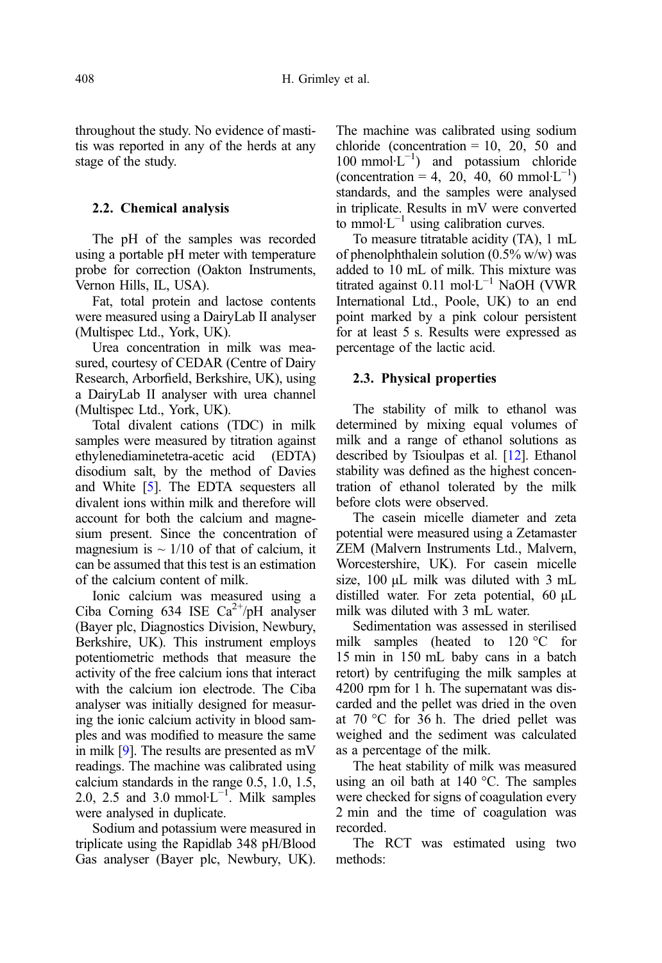throughout the study. No evidence of mastitis was reported in any of the herds at any stage of the study.

#### 2.2. Chemical analysis

The pH of the samples was recorded using a portable pH meter with temperature probe for correction (Oakton Instruments, Vernon Hills, IL, USA).

Fat, total protein and lactose contents were measured using a DairyLab II analyser (Multispec Ltd., York, UK).

Urea concentration in milk was measured, courtesy of CEDAR (Centre of Dairy Research, Arborfield, Berkshire, UK), using a DairyLab II analyser with urea channel (Multispec Ltd., York, UK).

Total divalent cations (TDC) in milk samples were measured by titration against ethylenediaminetetra-acetic acid (EDTA) disodium salt, by the method of Davies and White [\[5\]](#page-11-0). The EDTA sequesters all divalent ions within milk and therefore will account for both the calcium and magnesium present. Since the concentration of magnesium is  $\sim 1/10$  of that of calcium, it can be assumed that this test is an estimation of the calcium content of milk.

Ionic calcium was measured using a Ciba Corning 634 ISE Ca<sup>2+</sup>/pH analyser (Bayer plc, Diagnostics Division, Newbury, Berkshire, UK). This instrument employs potentiometric methods that measure the activity of the free calcium ions that interact with the calcium ion electrode. The Ciba analyser was initially designed for measuring the ionic calcium activity in blood samples and was modified to measure the same in milk [[9\]](#page-11-0). The results are presented as mV readings. The machine was calibrated using calcium standards in the range 0.5, 1.0, 1.5, 2.0, 2.5 and 3.0 mmol⋅L<sup>-1</sup>. Milk samples were analysed in duplicate.

Sodium and potassium were measured in triplicate using the Rapidlab 348 pH/Blood Gas analyser (Bayer plc, Newbury, UK). The machine was calibrated using sodium chloride (concentration  $= 10, 20, 50$  and 100 mmol·L−<sup>1</sup> ) and potassium chloride  $\text{(concentration} = 4, 20, 40, 60 \text{ mmol·L}^{-1})$ standards, and the samples were analysed in triplicate. Results in mV were converted to mmol⋅ $L^{-1}$  using calibration curves.

To measure titratable acidity (TA), 1 mL of phenolphthalein solution (0.5% w/w) was added to 10 mL of milk. This mixture was titrated against  $0.11 \text{ mol} \cdot L^{-1}$  NaOH (VWR International Ltd., Poole, UK) to an end point marked by a pink colour persistent for at least 5 s. Results were expressed as percentage of the lactic acid.

#### 2.3. Physical properties

The stability of milk to ethanol was determined by mixing equal volumes of milk and a range of ethanol solutions as described by Tsioulpas et al. [[12](#page-11-0)]. Ethanol stability was defined as the highest concentration of ethanol tolerated by the milk before clots were observed.

The casein micelle diameter and zeta potential were measured using a Zetamaster ZEM (Malvern Instruments Ltd., Malvern, Worcestershire, UK). For casein micelle size, 100 μL milk was diluted with 3 mL distilled water. For zeta potential, 60 μL milk was diluted with 3 mL water.

Sedimentation was assessed in sterilised milk samples (heated to 120 °C for 15 min in 150 mL baby cans in a batch retort) by centrifuging the milk samples at 4200 rpm for 1 h. The supernatant was discarded and the pellet was dried in the oven at 70 °C for 36 h. The dried pellet was weighed and the sediment was calculated as a percentage of the milk.

The heat stability of milk was measured using an oil bath at 140 °C. The samples were checked for signs of coagulation every 2 min and the time of coagulation was recorded.

The RCT was estimated using two methods: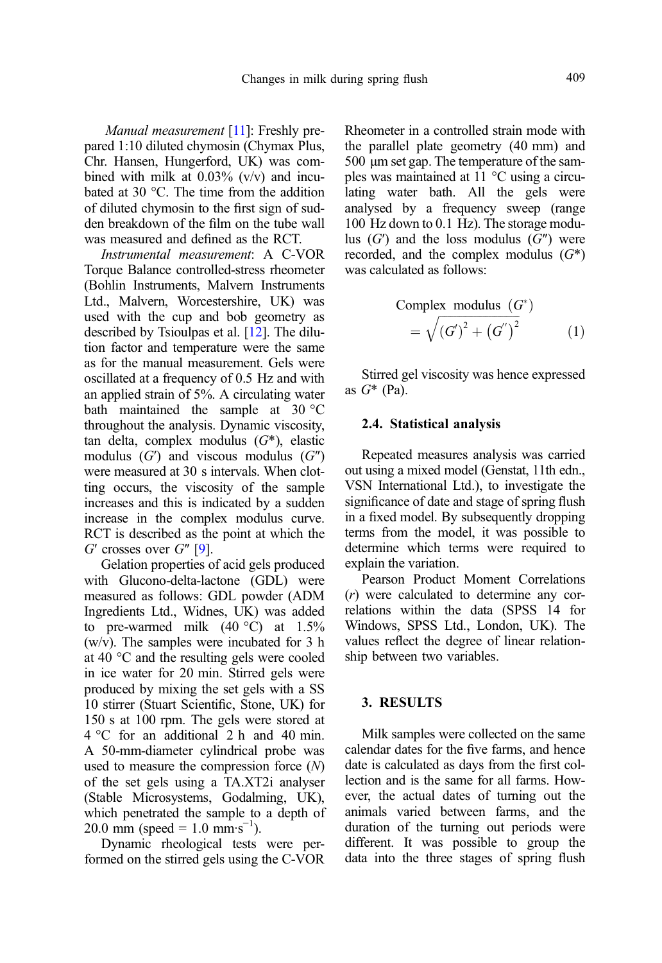Manual measurement [[11\]](#page-11-0): Freshly prepared 1:10 diluted chymosin (Chymax Plus, Chr. Hansen, Hungerford, UK) was combined with milk at  $0.03\%$  (v/v) and incubated at 30 °C. The time from the addition of diluted chymosin to the first sign of sudden breakdown of the film on the tube wall was measured and defined as the RCT.

Instrumental measurement: A C-VOR Torque Balance controlled-stress rheometer (Bohlin Instruments, Malvern Instruments Ltd., Malvern, Worcestershire, UK) was used with the cup and bob geometry as described by Tsioulpas et al. [[12](#page-11-0)]. The dilution factor and temperature were the same as for the manual measurement. Gels were oscillated at a frequency of 0.5 Hz and with an applied strain of 5%. A circulating water bath maintained the sample at 30 °C throughout the analysis. Dynamic viscosity, tan delta, complex modulus  $(G^*)$ , elastic modulus  $(G')$  and viscous modulus  $(G'')$ were measured at 30 s intervals. When clotting occurs, the viscosity of the sample increases and this is indicated by a sudden increase in the complex modulus curve. RCT is described as the point at which the  $G'$  crosses over  $G''$  [\[9](#page-11-0)].

Gelation properties of acid gels produced with Glucono-delta-lactone (GDL) were measured as follows: GDL powder (ADM Ingredients Ltd., Widnes, UK) was added to pre-warmed milk  $(40 °C)$  at 1.5% (w/v). The samples were incubated for 3 h at 40 °C and the resulting gels were cooled in ice water for 20 min. Stirred gels were produced by mixing the set gels with a SS 10 stirrer (Stuart Scientific, Stone, UK) for 150 s at 100 rpm. The gels were stored at 4 °C for an additional 2 h and 40 min. A 50-mm-diameter cylindrical probe was used to measure the compression force (N) of the set gels using a TA.XT2i analyser (Stable Microsystems, Godalming, UK), which penetrated the sample to a depth of  $20.0 \text{ mm}$  (speed = 1.0 mm·s<sup>-1</sup>).

Dynamic rheological tests were performed on the stirred gels using the C-VOR Rheometer in a controlled strain mode with the parallel plate geometry (40 mm) and 500 μm set gap. The temperature of the samples was maintained at 11 °C using a circulating water bath. All the gels were analysed by a frequency sweep (range 100 Hz down to 0.1 Hz). The storage modulus  $(G')$  and the loss modulus  $(G'')$  were recorded, and the complex modulus  $(G^*)$ was calculated as follows:

Complex modulus 
$$
(G^*)
$$
  
=  $\sqrt{(G')^2 + (G')^2}$  (1)

Stirred gel viscosity was hence expressed as  $G^*$  (Pa).

#### 2.4. Statistical analysis

Repeated measures analysis was carried out using a mixed model (Genstat, 11th edn., VSN International Ltd.), to investigate the significance of date and stage of spring flush in a fixed model. By subsequently dropping terms from the model, it was possible to determine which terms were required to explain the variation.

Pearson Product Moment Correlations (r) were calculated to determine any correlations within the data (SPSS 14 for Windows, SPSS Ltd., London, UK). The values reflect the degree of linear relationship between two variables.

#### 3. RESULTS

Milk samples were collected on the same calendar dates for the five farms, and hence date is calculated as days from the first collection and is the same for all farms. However, the actual dates of turning out the animals varied between farms, and the duration of the turning out periods were different. It was possible to group the data into the three stages of spring flush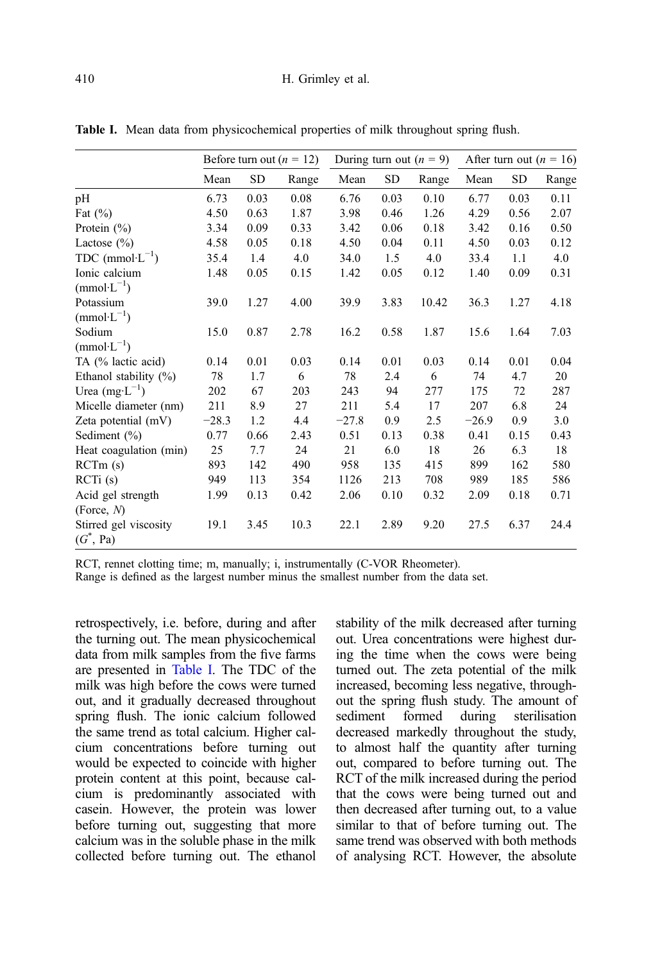|                          | Before turn out $(n = 12)$ |           |       | During turn out $(n = 9)$ |           |       | After turn out $(n = 16)$ |           |       |
|--------------------------|----------------------------|-----------|-------|---------------------------|-----------|-------|---------------------------|-----------|-------|
|                          | Mean                       | <b>SD</b> | Range | Mean                      | <b>SD</b> | Range | Mean                      | <b>SD</b> | Range |
| pH                       | 6.73                       | 0.03      | 0.08  | 6.76                      | 0.03      | 0.10  | 6.77                      | 0.03      | 0.11  |
| Fat $(\%)$               | 4.50                       | 0.63      | 1.87  | 3.98                      | 0.46      | 1.26  | 4.29                      | 0.56      | 2.07  |
| Protein $(\% )$          | 3.34                       | 0.09      | 0.33  | 3.42                      | 0.06      | 0.18  | 3.42                      | 0.16      | 0.50  |
| Lactose $(\% )$          | 4.58                       | 0.05      | 0.18  | 4.50                      | 0.04      | 0.11  | 4.50                      | 0.03      | 0.12  |
| TDC $(mmol·L^{-1})$      | 35.4                       | 1.4       | 4.0   | 34.0                      | 1.5       | 4.0   | 33.4                      | 1.1       | 4.0   |
| Ionic calcium            | 1.48                       | 0.05      | 0.15  | 1.42                      | 0.05      | 0.12  | 1.40                      | 0.09      | 0.31  |
| $(mmol·L^{-1})$          |                            |           |       |                           |           |       |                           |           |       |
| Potassium                | 39.0                       | 1.27      | 4.00  | 39.9                      | 3.83      | 10.42 | 36.3                      | 1.27      | 4.18  |
| $(mmol·L^{-1})$          |                            |           |       |                           |           |       |                           |           |       |
| Sodium                   | 15.0                       | 0.87      | 2.78  | 16.2                      | 0.58      | 1.87  | 15.6                      | 1.64      | 7.03  |
| $(mmol·L^{-1})$          |                            |           |       |                           |           |       |                           |           |       |
| TA (% lactic acid)       | 0.14                       | 0.01      | 0.03  | 0.14                      | 0.01      | 0.03  | 0.14                      | 0.01      | 0.04  |
| Ethanol stability $(\%)$ | 78                         | 1.7       | 6     | 78                        | 2.4       | 6     | 74                        | 4.7       | 20    |
| Urea $(mg \cdot L^{-1})$ | 202                        | 67        | 203   | 243                       | 94        | 277   | 175                       | 72        | 287   |
| Micelle diameter (nm)    | 211                        | 8.9       | 27    | 211                       | 5.4       | 17    | 207                       | 6.8       | 24    |
| Zeta potential $(mV)$    | $-28.3$                    | 1.2       | 4.4   | $-27.8$                   | 0.9       | 2.5   | $-26.9$                   | 0.9       | 3.0   |
| Sediment $(\% )$         | 0.77                       | 0.66      | 2.43  | 0.51                      | 0.13      | 0.38  | 0.41                      | 0.15      | 0.43  |
| Heat coagulation (min)   | 25                         | 7.7       | 24    | 21                        | 6.0       | 18    | 26                        | 6.3       | 18    |
| RCTm(s)                  | 893                        | 142       | 490   | 958                       | 135       | 415   | 899                       | 162       | 580   |
| RCTi(S)                  | 949                        | 113       | 354   | 1126                      | 213       | 708   | 989                       | 185       | 586   |
| Acid gel strength        | 1.99                       | 0.13      | 0.42  | 2.06                      | 0.10      | 0.32  | 2.09                      | 0.18      | 0.71  |
| (Force, $N$ )            |                            |           |       |                           |           |       |                           |           |       |
| Stirred gel viscosity    | 19.1                       | 3.45      | 10.3  | 22.1                      | 2.89      | 9.20  | 27.5                      | 6.37      | 24.4  |
| $(G^*, Pa)$              |                            |           |       |                           |           |       |                           |           |       |

Table I. Mean data from physicochemical properties of milk throughout spring flush.

RCT, rennet clotting time; m, manually; i, instrumentally (C-VOR Rheometer).

Range is defined as the largest number minus the smallest number from the data set.

retrospectively, i.e. before, during and after the turning out. The mean physicochemical data from milk samples from the five farms are presented in Table I. The TDC of the milk was high before the cows were turned out, and it gradually decreased throughout spring flush. The ionic calcium followed the same trend as total calcium. Higher calcium concentrations before turning out would be expected to coincide with higher protein content at this point, because calcium is predominantly associated with casein. However, the protein was lower before turning out, suggesting that more calcium was in the soluble phase in the milk collected before turning out. The ethanol stability of the milk decreased after turning out. Urea concentrations were highest during the time when the cows were being turned out. The zeta potential of the milk increased, becoming less negative, throughout the spring flush study. The amount of sediment formed during sterilisation decreased markedly throughout the study, to almost half the quantity after turning out, compared to before turning out. The RCT of the milk increased during the period that the cows were being turned out and then decreased after turning out, to a value similar to that of before turning out. The same trend was observed with both methods of analysing RCT. However, the absolute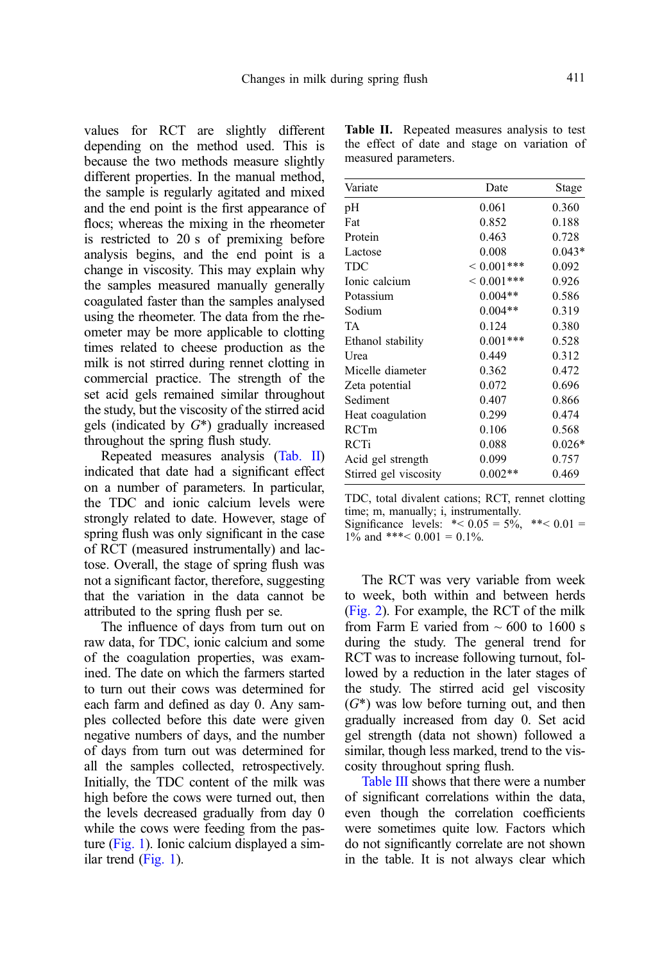values for RCT are slightly different depending on the method used. This is because the two methods measure slightly different properties. In the manual method, the sample is regularly agitated and mixed and the end point is the first appearance of flocs; whereas the mixing in the rheometer is restricted to 20 s of premixing before analysis begins, and the end point is a change in viscosity. This may explain why the samples measured manually generally coagulated faster than the samples analysed using the rheometer. The data from the rheometer may be more applicable to clotting times related to cheese production as the milk is not stirred during rennet clotting in commercial practice. The strength of the set acid gels remained similar throughout the study, but the viscosity of the stirred acid gels (indicated by  $G^*$ ) gradually increased throughout the spring flush study.

Repeated measures analysis (Tab. II) indicated that date had a significant effect on a number of parameters. In particular, the TDC and ionic calcium levels were strongly related to date. However, stage of spring flush was only significant in the case of RCT (measured instrumentally) and lactose. Overall, the stage of spring flush was not a significant factor, therefore, suggesting that the variation in the data cannot be attributed to the spring flush per se.

The influence of days from turn out on raw data, for TDC, ionic calcium and some of the coagulation properties, was examined. The date on which the farmers started to turn out their cows was determined for each farm and defined as day 0. Any samples collected before this date were given negative numbers of days, and the number of days from turn out was determined for all the samples collected, retrospectively. Initially, the TDC content of the milk was high before the cows were turned out, then the levels decreased gradually from day 0 while the cows were feeding from the pasture [\(Fig. 1\)](#page-7-0). Ionic calcium displayed a similar trend [\(Fig. 1\)](#page-7-0).

| Variate               | Date            | Stage    |
|-----------------------|-----------------|----------|
| pH                    | 0.061           | 0.360    |
| Fat                   | 0.852           | 0.188    |
| Protein               | 0.463           | 0.728    |
| Lactose               | 0.008           | $0.043*$ |
| TDC                   | ${}< 0.001$ *** | 0.092    |
| Ionic calcium         | $< 0.001***$    | 0.926    |
| Potassium             | $0.004**$       | 0.586    |
| Sodium                | $0.004**$       | 0.319    |
| TA                    | 0.124           | 0.380    |
| Ethanol stability     | $0.001***$      | 0.528    |
| Urea                  | 0.449           | 0.312    |
| Micelle diameter      | 0.362           | 0.472    |
| Zeta potential        | 0.072           | 0.696    |
| Sediment              | 0.407           | 0.866    |
| Heat coagulation      | 0.299           | 0.474    |
| RCTm                  | 0.106           | 0.568    |
| <b>RCTi</b>           | 0.088           | $0.026*$ |
| Acid gel strength     | 0.099           | 0.757    |
| Stirred gel viscosity | $0.002**$       | 0.469    |

Table II. Repeated measures analysis to test the effect of date and stage on variation of measured parameters.

TDC, total divalent cations; RCT, rennet clotting time; m, manually; i, instrumentally. Significance levels:  $* < 0.05 = 5\%$ ,  $* < 0.01 =$ 

 $1\%$  and \*\*\*<  $0.001 = 0.1\%$ .

The RCT was very variable from week to week, both within and between herds ([Fig. 2](#page-7-0)). For example, the RCT of the milk from Farm E varied from  $\sim 600$  to 1600 s during the study. The general trend for RCT was to increase following turnout, followed by a reduction in the later stages of the study. The stirred acid gel viscosity  $(G^*)$  was low before turning out, and then gradually increased from day 0. Set acid gel strength (data not shown) followed a similar, though less marked, trend to the viscosity throughout spring flush.

[Table III](#page-8-0) shows that there were a number of significant correlations within the data, even though the correlation coefficients were sometimes quite low. Factors which do not significantly correlate are not shown in the table. It is not always clear which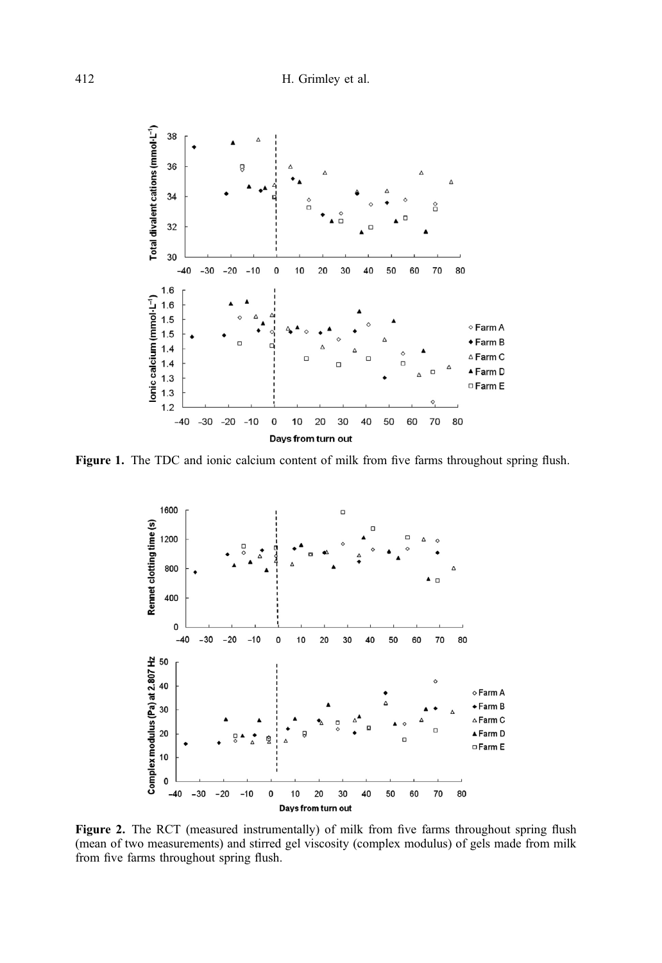<span id="page-7-0"></span>

Figure 1. The TDC and ionic calcium content of milk from five farms throughout spring flush.



Figure 2. The RCT (measured instrumentally) of milk from five farms throughout spring flush (mean of two measurements) and stirred gel viscosity (complex modulus) of gels made from milk from five farms throughout spring flush.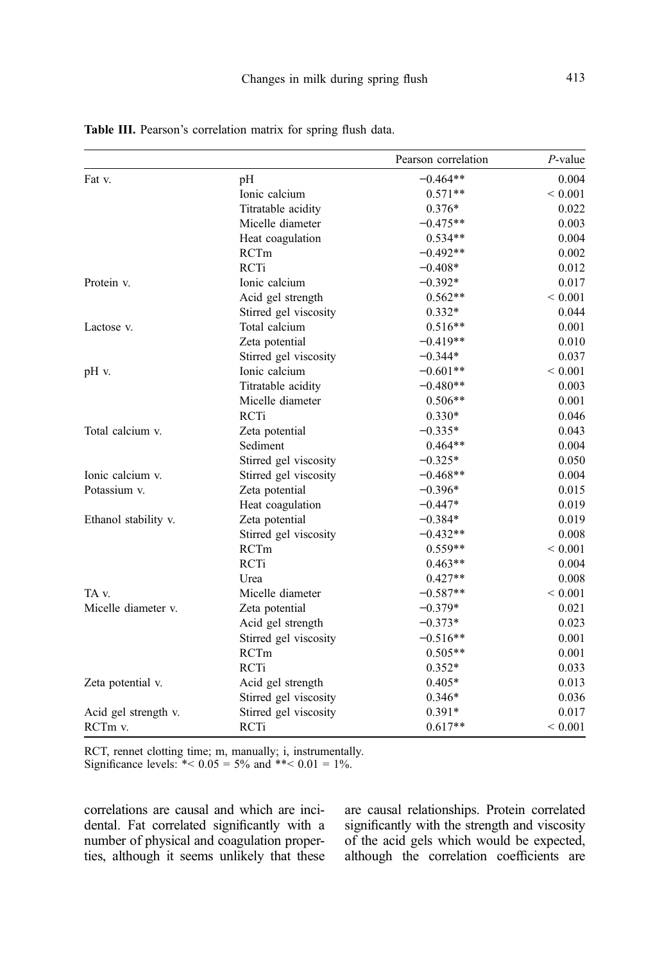|                      |                       | Pearson correlation | $P$ -value  |
|----------------------|-----------------------|---------------------|-------------|
| Fat v.               | pH                    | $-0.464**$          | 0.004       |
|                      | Ionic calcium         | $0.571**$           | ${}< 0.001$ |
|                      | Titratable acidity    | $0.376*$            | 0.022       |
|                      | Micelle diameter      | $-0.475**$          | 0.003       |
|                      | Heat coagulation      | $0.534**$           | 0.004       |
|                      | RCTm                  | $-0.492**$          | 0.002       |
|                      | RCTi                  | $-0.408*$           | 0.012       |
| Protein v.           | Ionic calcium         | $-0.392*$           | 0.017       |
|                      | Acid gel strength     | $0.562**$           | ${}< 0.001$ |
|                      | Stirred gel viscosity | $0.332*$            | 0.044       |
| Lactose v.           | Total calcium         | $0.516**$           | 0.001       |
|                      | Zeta potential        | $-0.419**$          | 0.010       |
|                      | Stirred gel viscosity | $-0.344*$           | 0.037       |
| pH v.                | Ionic calcium         | $-0.601**$          | ${}< 0.001$ |
|                      | Titratable acidity    | $-0.480**$          | 0.003       |
|                      | Micelle diameter      | $0.506**$           | 0.001       |
|                      | RCTi                  | $0.330*$            | 0.046       |
| Total calcium v.     | Zeta potential        | $-0.335*$           | 0.043       |
|                      | Sediment              | $0.464**$           | 0.004       |
|                      | Stirred gel viscosity | $-0.325*$           | 0.050       |
| Ionic calcium v.     | Stirred gel viscosity | $-0.468**$          | 0.004       |
| Potassium v.         | Zeta potential        | $-0.396*$           | 0.015       |
|                      | Heat coagulation      | $-0.447*$           | 0.019       |
| Ethanol stability v. | Zeta potential        | $-0.384*$           | 0.019       |
|                      | Stirred gel viscosity | $-0.432**$          | 0.008       |
|                      | RCTm                  | $0.559**$           | ${}< 0.001$ |
|                      | RCTi                  | $0.463**$           | 0.004       |
|                      | Urea                  | $0.427**$           | 0.008       |
| TA v.                | Micelle diameter      | $-0.587**$          | ${}< 0.001$ |
| Micelle diameter v.  | Zeta potential        | $-0.379*$           | 0.021       |
|                      | Acid gel strength     | $-0.373*$           | 0.023       |
|                      | Stirred gel viscosity | $-0.516**$          | 0.001       |
|                      | <b>RCTm</b>           | $0.505**$           | 0.001       |
|                      | RCTi                  | $0.352*$            | 0.033       |
| Zeta potential v.    | Acid gel strength     | $0.405*$            | 0.013       |
|                      | Stirred gel viscosity | $0.346*$            | 0.036       |
| Acid gel strength v. | Stirred gel viscosity | $0.391*$            | 0.017       |
| RCTm v.              | RCTi                  | $0.617**$           | ${}< 0.001$ |

<span id="page-8-0"></span>Table III. Pearson's correlation matrix for spring flush data.

RCT, rennet clotting time; m, manually; i, instrumentally. Significance levels:  $*$ < 0.05 = 5% and  $*$   $*$  < 0.01 = 1%.

correlations are causal and which are incidental. Fat correlated significantly with a number of physical and coagulation properties, although it seems unlikely that these

are causal relationships. Protein correlated significantly with the strength and viscosity of the acid gels which would be expected, although the correlation coefficients are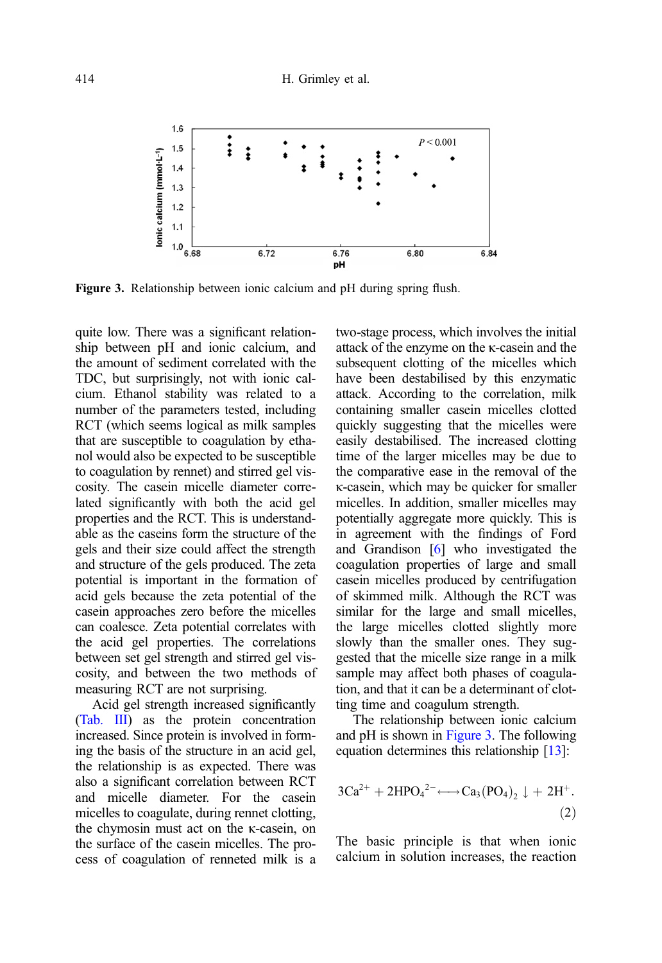<span id="page-9-0"></span>

Figure 3. Relationship between ionic calcium and pH during spring flush.

quite low. There was a significant relationship between pH and ionic calcium, and the amount of sediment correlated with the TDC, but surprisingly, not with ionic calcium. Ethanol stability was related to a number of the parameters tested, including RCT (which seems logical as milk samples that are susceptible to coagulation by ethanol would also be expected to be susceptible to coagulation by rennet) and stirred gel viscosity. The casein micelle diameter correlated significantly with both the acid gel properties and the RCT. This is understandable as the caseins form the structure of the gels and their size could affect the strength and structure of the gels produced. The zeta potential is important in the formation of acid gels because the zeta potential of the casein approaches zero before the micelles can coalesce. Zeta potential correlates with the acid gel properties. The correlations between set gel strength and stirred gel viscosity, and between the two methods of measuring RCT are not surprising.

Acid gel strength increased significantly [\(Tab. III](#page-8-0)) as the protein concentration increased. Since protein is involved in forming the basis of the structure in an acid gel, the relationship is as expected. There was also a significant correlation between RCT and micelle diameter. For the casein micelles to coagulate, during rennet clotting, the chymosin must act on the κ-casein, on the surface of the casein micelles. The process of coagulation of renneted milk is a two-stage process, which involves the initial attack of the enzyme on the κ-casein and the subsequent clotting of the micelles which have been destabilised by this enzymatic attack. According to the correlation, milk containing smaller casein micelles clotted quickly suggesting that the micelles were easily destabilised. The increased clotting time of the larger micelles may be due to the comparative ease in the removal of the κ-casein, which may be quicker for smaller micelles. In addition, smaller micelles may potentially aggregate more quickly. This is in agreement with the findings of Ford and Grandison [[6\]](#page-11-0) who investigated the coagulation properties of large and small casein micelles produced by centrifugation of skimmed milk. Although the RCT was similar for the large and small micelles, the large micelles clotted slightly more slowly than the smaller ones. They suggested that the micelle size range in a milk sample may affect both phases of coagulation, and that it can be a determinant of clotting time and coagulum strength.

The relationship between ionic calcium and pH is shown in Figure 3. The following equation determines this relationship [\[13\]](#page-11-0):

$$
3Ca^{2+} + 2HPO42- \longleftrightarrow Ca3(PO4)2 \downarrow + 2H+.
$$
\n(2)

The basic principle is that when ionic calcium in solution increases, the reaction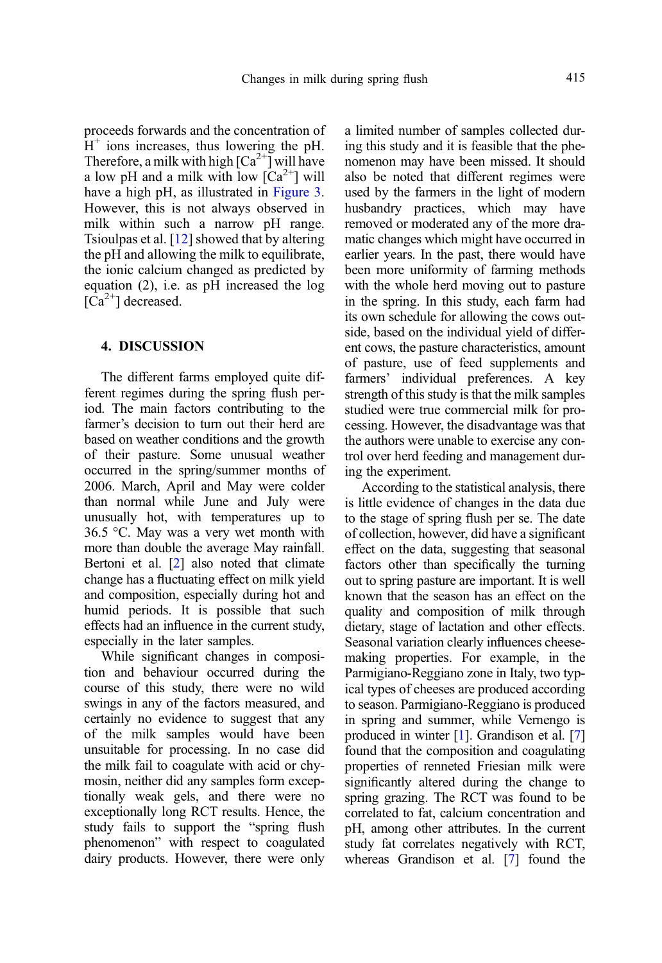proceeds forwards and the concentration of  $H^+$  ions increases, thus lowering the pH. Therefore, a milk with high  $\lceil Ca^{2+} \rceil$  will have a low pH and a milk with low  $\lceil Ca^{2+} \rceil$  will have a high pH, as illustrated in [Figure 3](#page-9-0). However, this is not always observed in milk within such a narrow pH range. Tsioulpas et al. [\[12](#page-11-0)] showed that by altering the pH and allowing the milk to equilibrate, the ionic calcium changed as predicted by equation (2), i.e. as pH increased the log  $[Ca^{2+}]$  decreased.

#### 4. DISCUSSION

The different farms employed quite different regimes during the spring flush period. The main factors contributing to the farmer's decision to turn out their herd are based on weather conditions and the growth of their pasture. Some unusual weather occurred in the spring/summer months of 2006. March, April and May were colder than normal while June and July were unusually hot, with temperatures up to 36.5 °C. May was a very wet month with more than double the average May rainfall. Bertoni et al. [\[2](#page-11-0)] also noted that climate change has a fluctuating effect on milk yield and composition, especially during hot and humid periods. It is possible that such effects had an influence in the current study, especially in the later samples.

While significant changes in composition and behaviour occurred during the course of this study, there were no wild swings in any of the factors measured, and certainly no evidence to suggest that any of the milk samples would have been unsuitable for processing. In no case did the milk fail to coagulate with acid or chymosin, neither did any samples form exceptionally weak gels, and there were no exceptionally long RCT results. Hence, the study fails to support the "spring flush phenomenon" with respect to coagulated dairy products. However, there were only a limited number of samples collected during this study and it is feasible that the phenomenon may have been missed. It should also be noted that different regimes were used by the farmers in the light of modern husbandry practices, which may have removed or moderated any of the more dramatic changes which might have occurred in earlier years. In the past, there would have been more uniformity of farming methods with the whole herd moving out to pasture in the spring. In this study, each farm had its own schedule for allowing the cows outside, based on the individual yield of different cows, the pasture characteristics, amount of pasture, use of feed supplements and farmers' individual preferences. A key strength of this study is that the milk samples studied were true commercial milk for processing. However, the disadvantage was that the authors were unable to exercise any control over herd feeding and management during the experiment.

According to the statistical analysis, there is little evidence of changes in the data due to the stage of spring flush per se. The date of collection, however, did have a significant effect on the data, suggesting that seasonal factors other than specifically the turning out to spring pasture are important. It is well known that the season has an effect on the quality and composition of milk through dietary, stage of lactation and other effects. Seasonal variation clearly influences cheesemaking properties. For example, in the Parmigiano-Reggiano zone in Italy, two typical types of cheeses are produced according to season. Parmigiano-Reggiano is produced in spring and summer, while Vernengo is produced in winter [[1\]](#page-11-0). Grandison et al. [[7\]](#page-11-0) found that the composition and coagulating properties of renneted Friesian milk were significantly altered during the change to spring grazing. The RCT was found to be correlated to fat, calcium concentration and pH, among other attributes. In the current study fat correlates negatively with RCT, whereas Grandison et al. [\[7](#page-11-0)] found the